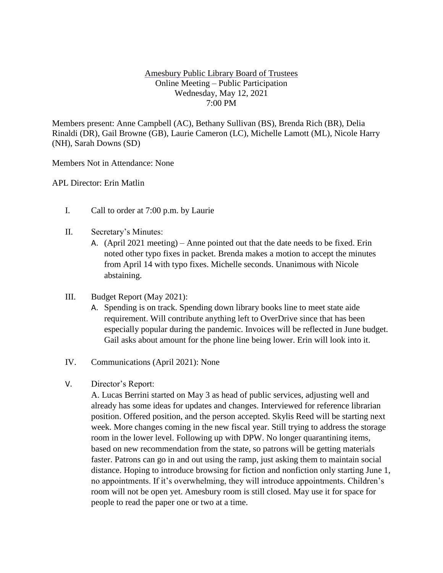## Amesbury Public Library Board of Trustees Online Meeting – Public Participation Wednesday, May 12, 2021 7:00 PM

Members present: Anne Campbell (AC), Bethany Sullivan (BS), Brenda Rich (BR), Delia Rinaldi (DR), Gail Browne (GB), Laurie Cameron (LC), Michelle Lamott (ML), Nicole Harry (NH), Sarah Downs (SD)

Members Not in Attendance: None

APL Director: Erin Matlin

- I. Call to order at 7:00 p.m. by Laurie
- II. Secretary's Minutes:
	- A. (April 2021 meeting) Anne pointed out that the date needs to be fixed. Erin noted other typo fixes in packet. Brenda makes a motion to accept the minutes from April 14 with typo fixes. Michelle seconds. Unanimous with Nicole abstaining.
- III. Budget Report (May 2021):
	- A. Spending is on track. Spending down library books line to meet state aide requirement. Will contribute anything left to OverDrive since that has been especially popular during the pandemic. Invoices will be reflected in June budget. Gail asks about amount for the phone line being lower. Erin will look into it.
- IV. Communications (April 2021): None
- V. Director's Report:

A. Lucas Berrini started on May 3 as head of public services, adjusting well and already has some ideas for updates and changes. Interviewed for reference librarian position. Offered position, and the person accepted. Skylis Reed will be starting next week. More changes coming in the new fiscal year. Still trying to address the storage room in the lower level. Following up with DPW. No longer quarantining items, based on new recommendation from the state, so patrons will be getting materials faster. Patrons can go in and out using the ramp, just asking them to maintain social distance. Hoping to introduce browsing for fiction and nonfiction only starting June 1, no appointments. If it's overwhelming, they will introduce appointments. Children's room will not be open yet. Amesbury room is still closed. May use it for space for people to read the paper one or two at a time.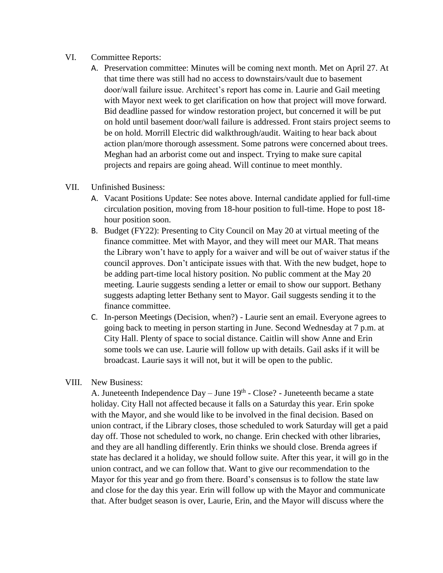## VI. Committee Reports:

A. Preservation committee: Minutes will be coming next month. Met on April 27. At that time there was still had no access to downstairs/vault due to basement door/wall failure issue. Architect's report has come in. Laurie and Gail meeting with Mayor next week to get clarification on how that project will move forward. Bid deadline passed for window restoration project, but concerned it will be put on hold until basement door/wall failure is addressed. Front stairs project seems to be on hold. Morrill Electric did walkthrough/audit. Waiting to hear back about action plan/more thorough assessment. Some patrons were concerned about trees. Meghan had an arborist come out and inspect. Trying to make sure capital projects and repairs are going ahead. Will continue to meet monthly.

## VII. Unfinished Business:

- A. Vacant Positions Update: See notes above. Internal candidate applied for full-time circulation position, moving from 18-hour position to full-time. Hope to post 18 hour position soon.
- B. Budget (FY22): Presenting to City Council on May 20 at virtual meeting of the finance committee. Met with Mayor, and they will meet our MAR. That means the Library won't have to apply for a waiver and will be out of waiver status if the council approves. Don't anticipate issues with that. With the new budget, hope to be adding part-time local history position. No public comment at the May 20 meeting. Laurie suggests sending a letter or email to show our support. Bethany suggests adapting letter Bethany sent to Mayor. Gail suggests sending it to the finance committee.
- C. In-person Meetings (Decision, when?) Laurie sent an email. Everyone agrees to going back to meeting in person starting in June. Second Wednesday at 7 p.m. at City Hall. Plenty of space to social distance. Caitlin will show Anne and Erin some tools we can use. Laurie will follow up with details. Gail asks if it will be broadcast. Laurie says it will not, but it will be open to the public.

## VIII. New Business:

A. Juneteenth Independence  $Day - June 19<sup>th</sup> - Close? - Juneteenth became a state$ holiday. City Hall not affected because it falls on a Saturday this year. Erin spoke with the Mayor, and she would like to be involved in the final decision. Based on union contract, if the Library closes, those scheduled to work Saturday will get a paid day off. Those not scheduled to work, no change. Erin checked with other libraries, and they are all handling differently. Erin thinks we should close. Brenda agrees if state has declared it a holiday, we should follow suite. After this year, it will go in the union contract, and we can follow that. Want to give our recommendation to the Mayor for this year and go from there. Board's consensus is to follow the state law and close for the day this year. Erin will follow up with the Mayor and communicate that. After budget season is over, Laurie, Erin, and the Mayor will discuss where the